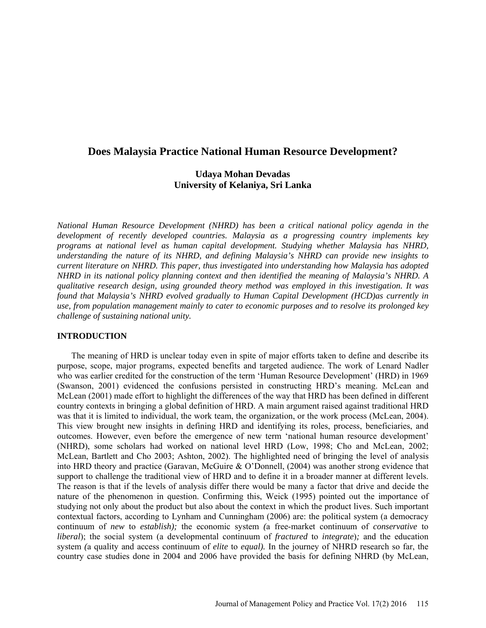# **Does Malaysia Practice National Human Resource Development?**

# **Udaya Mohan Devadas University of Kelaniya, Sri Lanka**

*National Human Resource Development (NHRD) has been a critical national policy agenda in the development of recently developed countries. Malaysia as a progressing country implements key programs at national level as human capital development. Studying whether Malaysia has NHRD, understanding the nature of its NHRD, and defining Malaysia's NHRD can provide new insights to current literature on NHRD. This paper, thus investigated into understanding how Malaysia has adopted NHRD in its national policy planning context and then identified the meaning of Malaysia's NHRD. A qualitative research design, using grounded theory method was employed in this investigation. It was found that Malaysia's NHRD evolved gradually to Human Capital Development (HCD)as currently in use, from population management mainly to cater to economic purposes and to resolve its prolonged key challenge of sustaining national unity.*

## **INTRODUCTION**

The meaning of HRD is unclear today even in spite of major efforts taken to define and describe its purpose, scope, major programs, expected benefits and targeted audience. The work of Lenard Nadler who was earlier credited for the construction of the term 'Human Resource Development' (HRD) in 1969 (Swanson, 2001) evidenced the confusions persisted in constructing HRD's meaning. McLean and McLean (2001) made effort to highlight the differences of the way that HRD has been defined in different country contexts in bringing a global definition of HRD. A main argument raised against traditional HRD was that it is limited to individual, the work team, the organization, or the work process (McLean, 2004). This view brought new insights in defining HRD and identifying its roles, process, beneficiaries, and outcomes. However, even before the emergence of new term 'national human resource development' (NHRD), some scholars had worked on national level HRD (Low, 1998; Cho and McLean, 2002; McLean, Bartlett and Cho 2003; Ashton, 2002). The highlighted need of bringing the level of analysis into HRD theory and practice (Garavan, McGuire & O'Donnell, (2004) was another strong evidence that support to challenge the traditional view of HRD and to define it in a broader manner at different levels. The reason is that if the levels of analysis differ there would be many a factor that drive and decide the nature of the phenomenon in question. Confirming this, Weick (1995) pointed out the importance of studying not only about the product but also about the context in which the product lives. Such important contextual factors, according to Lynham and Cunningham (2006) are: the political system (a democracy continuum of *new* to *establish);* the economic system *(*a free-market continuum of *conservative* to *liberal*); the social system (a developmental continuum of *fractured* to *integrate*)*;* and the education system *(*a quality and access continuum of *elite* to *equal).* In the journey of NHRD research so far, the country case studies done in 2004 and 2006 have provided the basis for defining NHRD (by McLean,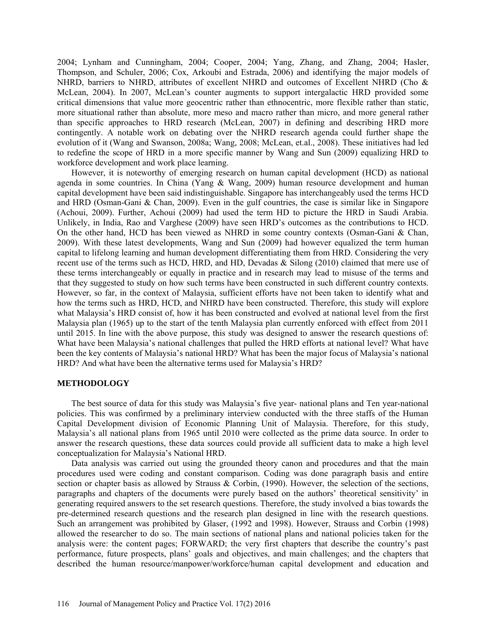2004; Lynham and Cunningham, 2004; Cooper, 2004; Yang, Zhang, and Zhang, 2004; Hasler, Thompson, and Schuler, 2006; Cox, Arkoubi and Estrada, 2006) and identifying the major models of NHRD, barriers to NHRD, attributes of excellent NHRD and outcomes of Excellent NHRD (Cho & McLean, 2004). In 2007, McLean's counter augments to support intergalactic HRD provided some critical dimensions that value more geocentric rather than ethnocentric, more flexible rather than static, more situational rather than absolute, more meso and macro rather than micro, and more general rather than specific approaches to HRD research (McLean, 2007) in defining and describing HRD more contingently. A notable work on debating over the NHRD research agenda could further shape the evolution of it (Wang and Swanson, 2008a; Wang, 2008; McLean, et.al., 2008). These initiatives had led to redefine the scope of HRD in a more specific manner by Wang and Sun (2009) equalizing HRD to workforce development and work place learning.

However, it is noteworthy of emerging research on human capital development (HCD) as national agenda in some countries. In China (Yang & Wang, 2009) human resource development and human capital development have been said indistinguishable. Singapore has interchangeably used the terms HCD and HRD (Osman-Gani & Chan, 2009). Even in the gulf countries, the case is similar like in Singapore (Achoui, 2009). Further, Achoui (2009) had used the term HD to picture the HRD in Saudi Arabia. Unlikely, in India, Rao and Varghese (2009) have seen HRD's outcomes as the contributions to HCD. On the other hand, HCD has been viewed as NHRD in some country contexts (Osman-Gani & Chan, 2009). With these latest developments, Wang and Sun (2009) had however equalized the term human capital to lifelong learning and human development differentiating them from HRD. Considering the very recent use of the terms such as HCD, HRD, and HD, Devadas & Silong (2010) claimed that mere use of these terms interchangeably or equally in practice and in research may lead to misuse of the terms and that they suggested to study on how such terms have been constructed in such different country contexts. However, so far, in the context of Malaysia, sufficient efforts have not been taken to identify what and how the terms such as HRD, HCD, and NHRD have been constructed. Therefore, this study will explore what Malaysia's HRD consist of, how it has been constructed and evolved at national level from the first Malaysia plan (1965) up to the start of the tenth Malaysia plan currently enforced with effect from 2011 until 2015. In line with the above purpose, this study was designed to answer the research questions of: What have been Malaysia's national challenges that pulled the HRD efforts at national level? What have been the key contents of Malaysia's national HRD? What has been the major focus of Malaysia's national HRD? And what have been the alternative terms used for Malaysia's HRD?

#### **METHODOLOGY**

The best source of data for this study was Malaysia's five year- national plans and Ten year-national policies. This was confirmed by a preliminary interview conducted with the three staffs of the Human Capital Development division of Economic Planning Unit of Malaysia. Therefore, for this study, Malaysia's all national plans from 1965 until 2010 were collected as the prime data source. In order to answer the research questions, these data sources could provide all sufficient data to make a high level conceptualization for Malaysia's National HRD.

Data analysis was carried out using the grounded theory canon and procedures and that the main procedures used were coding and constant comparison. Coding was done paragraph basis and entire section or chapter basis as allowed by Strauss & Corbin, (1990). However, the selection of the sections, paragraphs and chapters of the documents were purely based on the authors' theoretical sensitivity' in generating required answers to the set research questions. Therefore, the study involved a bias towards the pre-determined research questions and the research plan designed in line with the research questions. Such an arrangement was prohibited by Glaser, (1992 and 1998). However, Strauss and Corbin (1998) allowed the researcher to do so. The main sections of national plans and national policies taken for the analysis were: the content pages; FORWARD; the very first chapters that describe the country's past performance, future prospects, plans' goals and objectives, and main challenges; and the chapters that described the human resource/manpower/workforce/human capital development and education and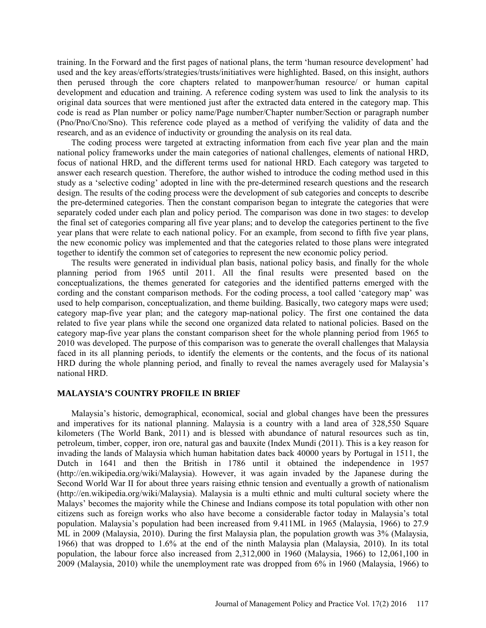training. In the Forward and the first pages of national plans, the term 'human resource development' had used and the key areas/efforts/strategies/trusts/initiatives were highlighted. Based, on this insight, authors then perused through the core chapters related to manpower/human resource/ or human capital development and education and training. A reference coding system was used to link the analysis to its original data sources that were mentioned just after the extracted data entered in the category map. This code is read as Plan number or policy name/Page number/Chapter number/Section or paragraph number (Pno/Pno/Cno/Sno). This reference code played as a method of verifying the validity of data and the research, and as an evidence of inductivity or grounding the analysis on its real data.

The coding process were targeted at extracting information from each five year plan and the main national policy frameworks under the main categories of national challenges, elements of national HRD, focus of national HRD, and the different terms used for national HRD. Each category was targeted to answer each research question. Therefore, the author wished to introduce the coding method used in this study as a 'selective coding' adopted in line with the pre-determined research questions and the research design. The results of the coding process were the development of sub categories and concepts to describe the pre-determined categories. Then the constant comparison began to integrate the categories that were separately coded under each plan and policy period. The comparison was done in two stages: to develop the final set of categories comparing all five year plans; and to develop the categories pertinent to the five year plans that were relate to each national policy. For an example, from second to fifth five year plans, the new economic policy was implemented and that the categories related to those plans were integrated together to identify the common set of categories to represent the new economic policy period.

The results were generated in individual plan basis, national policy basis, and finally for the whole planning period from 1965 until 2011. All the final results were presented based on the conceptualizations, the themes generated for categories and the identified patterns emerged with the cording and the constant comparison methods. For the coding process, a tool called 'category map' was used to help comparison, conceptualization, and theme building. Basically, two category maps were used; category map-five year plan; and the category map-national policy. The first one contained the data related to five year plans while the second one organized data related to national policies. Based on the category map-five year plans the constant comparison sheet for the whole planning period from 1965 to 2010 was developed. The purpose of this comparison was to generate the overall challenges that Malaysia faced in its all planning periods, to identify the elements or the contents, and the focus of its national HRD during the whole planning period, and finally to reveal the names averagely used for Malaysia's national HRD.

#### **MALAYSIA'S COUNTRY PROFILE IN BRIEF**

Malaysia's historic, demographical, economical, social and global changes have been the pressures and imperatives for its national planning. Malaysia is a country with a land area of 328,550 Square kilometers (The World Bank, 2011) and is blessed with abundance of natural resources such as tin, petroleum, timber, copper, iron ore, natural gas and bauxite (Index Mundi (2011). This is a key reason for invading the lands of Malaysia which human habitation dates back 40000 years by Portugal in 1511, the Dutch in 1641 and then the British in 1786 until it obtained the independence in 1957 (http://en.wikipedia.org/wiki/Malaysia). However, it was again invaded by the Japanese during the Second World War II for about three years raising ethnic tension and eventually a growth of nationalism (http://en.wikipedia.org/wiki/Malaysia). Malaysia is a multi ethnic and multi cultural society where the Malays' becomes the majority while the Chinese and Indians compose its total population with other non citizens such as foreign works who also have become a considerable factor today in Malaysia's total population. Malaysia's population had been increased from 9.411ML in 1965 (Malaysia, 1966) to 27.9 ML in 2009 (Malaysia, 2010). During the first Malaysia plan, the population growth was 3% (Malaysia, 1966) that was dropped to 1.6% at the end of the ninth Malaysia plan (Malaysia, 2010). In its total population, the labour force also increased from 2,312,000 in 1960 (Malaysia, 1966) to 12,061,100 in 2009 (Malaysia, 2010) while the unemployment rate was dropped from 6% in 1960 (Malaysia, 1966) to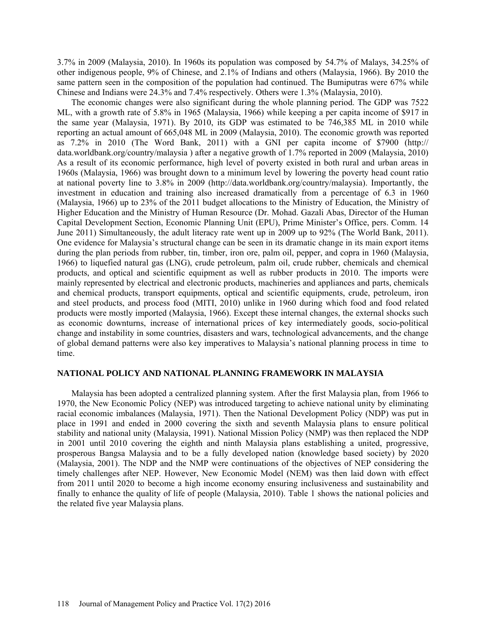3.7% in 2009 (Malaysia, 2010). In 1960s its population was composed by 54.7% of Malays, 34.25% of other indigenous people, 9% of Chinese, and 2.1% of Indians and others (Malaysia, 1966). By 2010 the same pattern seen in the composition of the population had continued. The Bumiputras were 67% while Chinese and Indians were 24.3% and 7.4% respectively. Others were 1.3% (Malaysia, 2010).

The economic changes were also significant during the whole planning period. The GDP was 7522 ML, with a growth rate of 5.8% in 1965 (Malaysia, 1966) while keeping a per capita income of \$917 in the same year (Malaysia, 1971). By 2010, its GDP was estimated to be 746,385 ML in 2010 while reporting an actual amount of 665,048 ML in 2009 (Malaysia, 2010). The economic growth was reported as 7.2% in 2010 (The Word Bank, 2011) with a GNI per capita income of \$7900 (http:// data.worldbank.org/country/malaysia ) after a negative growth of 1.7% reported in 2009 (Malaysia, 2010) As a result of its economic performance, high level of poverty existed in both rural and urban areas in 1960s (Malaysia, 1966) was brought down to a minimum level by lowering the poverty head count ratio at national poverty line to 3.8% in 2009 (http://data.worldbank.org/country/malaysia). Importantly, the investment in education and training also increased dramatically from a percentage of 6.3 in 1960 (Malaysia, 1966) up to 23% of the 2011 budget allocations to the Ministry of Education, the Ministry of Higher Education and the Ministry of Human Resource (Dr. Mohad. Gazali Abas, Director of the Human Capital Development Section, Economic Planning Unit (EPU), Prime Minister's Office, pers. Comm. 14 June 2011) Simultaneously, the adult literacy rate went up in 2009 up to 92% (The World Bank, 2011). One evidence for Malaysia's structural change can be seen in its dramatic change in its main export items during the plan periods from rubber, tin, timber, iron ore, palm oil, pepper, and copra in 1960 (Malaysia, 1966) to liquefied natural gas (LNG), crude petroleum, palm oil, crude rubber, chemicals and chemical products, and optical and scientific equipment as well as rubber products in 2010. The imports were mainly represented by electrical and electronic products, machineries and appliances and parts, chemicals and chemical products, transport equipments, optical and scientific equipments, crude, petroleum, iron and steel products, and process food (MITI, 2010) unlike in 1960 during which food and food related products were mostly imported (Malaysia, 1966). Except these internal changes, the external shocks such as economic downturns, increase of international prices of key intermediately goods, socio-political change and instability in some countries, disasters and wars, technological advancements, and the change of global demand patterns were also key imperatives to Malaysia's national planning process in time to time.

### **NATIONAL POLICY AND NATIONAL PLANNING FRAMEWORK IN MALAYSIA**

Malaysia has been adopted a centralized planning system. After the first Malaysia plan, from 1966 to 1970, the New Economic Policy (NEP) was introduced targeting to achieve national unity by eliminating racial economic imbalances (Malaysia, 1971). Then the National Development Policy (NDP) was put in place in 1991 and ended in 2000 covering the sixth and seventh Malaysia plans to ensure political stability and national unity (Malaysia, 1991). National Mission Policy (NMP) was then replaced the NDP in 2001 until 2010 covering the eighth and ninth Malaysia plans establishing a united, progressive, prosperous Bangsa Malaysia and to be a fully developed nation (knowledge based society) by 2020 (Malaysia, 2001). The NDP and the NMP were continuations of the objectives of NEP considering the timely challenges after NEP. However, New Economic Model (NEM) was then laid down with effect from 2011 until 2020 to become a high income economy ensuring inclusiveness and sustainability and finally to enhance the quality of life of people (Malaysia, 2010). Table 1 shows the national policies and the related five year Malaysia plans.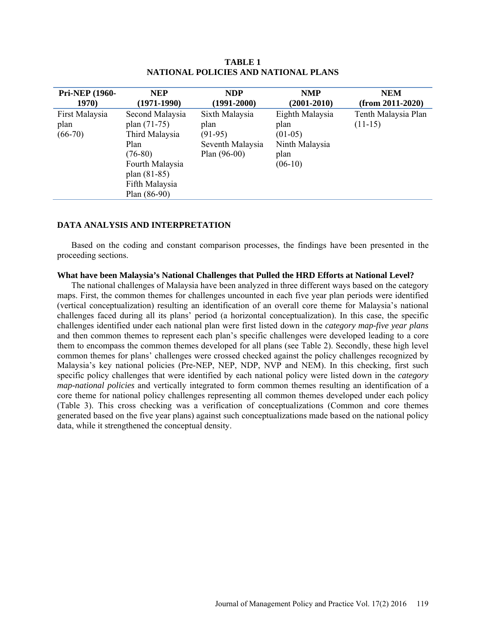| Pri-NEP (1960-                      | <b>NEP</b>                                                                                                                                      | <b>NDP</b>                                                                | <b>NMP</b>                                                                  | <b>NEM</b>                       |
|-------------------------------------|-------------------------------------------------------------------------------------------------------------------------------------------------|---------------------------------------------------------------------------|-----------------------------------------------------------------------------|----------------------------------|
| 1970)                               | $(1971 - 1990)$                                                                                                                                 | $(1991 - 2000)$                                                           | $(2001 - 2010)$                                                             | $(from 2011-2020)$               |
| First Malaysia<br>plan<br>$(66-70)$ | Second Malaysia<br>plan $(71-75)$<br>Third Malaysia<br>Plan<br>$(76-80)$<br>Fourth Malaysia<br>plan (81-85)<br>Fifth Malaysia<br>Plan $(86-90)$ | Sixth Malaysia<br>plan<br>$(91-95)$<br>Seventh Malaysia<br>Plan $(96-00)$ | Eighth Malaysia<br>plan<br>$(01-05)$<br>Ninth Malaysia<br>plan<br>$(06-10)$ | Tenth Malaysia Plan<br>$(11-15)$ |

**TABLE 1 NATIONAL POLICIES AND NATIONAL PLANS**

### **DATA ANALYSIS AND INTERPRETATION**

Based on the coding and constant comparison processes, the findings have been presented in the proceeding sections.

#### **What have been Malaysia's National Challenges that Pulled the HRD Efforts at National Level?**

The national challenges of Malaysia have been analyzed in three different ways based on the category maps. First, the common themes for challenges uncounted in each five year plan periods were identified (vertical conceptualization) resulting an identification of an overall core theme for Malaysia's national challenges faced during all its plans' period (a horizontal conceptualization). In this case, the specific challenges identified under each national plan were first listed down in the *category map-five year plans* and then common themes to represent each plan's specific challenges were developed leading to a core them to encompass the common themes developed for all plans (see Table 2). Secondly, these high level common themes for plans' challenges were crossed checked against the policy challenges recognized by Malaysia's key national policies (Pre-NEP, NEP, NDP, NVP and NEM). In this checking, first such specific policy challenges that were identified by each national policy were listed down in the *category map-national policies* and vertically integrated to form common themes resulting an identification of a core theme for national policy challenges representing all common themes developed under each policy (Table 3). This cross checking was a verification of conceptualizations (Common and core themes generated based on the five year plans) against such conceptualizations made based on the national policy data, while it strengthened the conceptual density.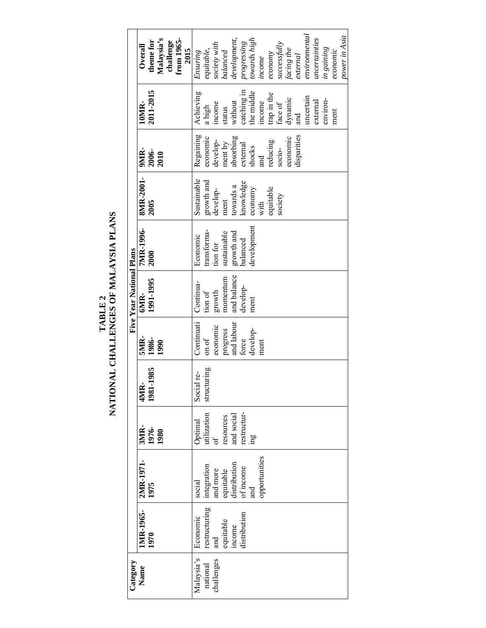TABLE 2<br>NATIONAL CHALLENGES OF MALAYSIA PLANS **NATIONAL CHALLENGES OF MALAYSIA PLANS**

| Category                             |                                                                         |                                                                                                    |                                                                                                     |                                |                                                                                        | Five Year National Plans                                                      |                                                                                             |                                                                                                                    |                                                                                                                                         |                                                                                                                                                                                    |                                                                                                                                                                                                                                                       |
|--------------------------------------|-------------------------------------------------------------------------|----------------------------------------------------------------------------------------------------|-----------------------------------------------------------------------------------------------------|--------------------------------|----------------------------------------------------------------------------------------|-------------------------------------------------------------------------------|---------------------------------------------------------------------------------------------|--------------------------------------------------------------------------------------------------------------------|-----------------------------------------------------------------------------------------------------------------------------------------|------------------------------------------------------------------------------------------------------------------------------------------------------------------------------------|-------------------------------------------------------------------------------------------------------------------------------------------------------------------------------------------------------------------------------------------------------|
| Name                                 | IMR-1965-<br>1970                                                       | 2MR-1971-<br>1975                                                                                  | 3MR-<br>1976-<br>1980                                                                               | 4MR-<br>1981-1985              | <b>SMIR-</b><br>1986-<br>1990                                                          | 1991-1995<br>6MR-                                                             | <b>7MR-1996-</b><br>2000                                                                    | 8MR-2001-<br>2005                                                                                                  | 9MR-<br>2006-<br>2010                                                                                                                   | 2011-2015<br>10MR-                                                                                                                                                                 | Malaysia's<br>from 1965-<br>theme for<br>challenge<br>Overall                                                                                                                                                                                         |
| Malaysia's<br>challenges<br>national | restructuring<br>distribution<br>Economic<br>equitable<br>income<br>and | opportunities<br>equitable<br>distribution<br>ntegration<br>of income<br>and more<br>social<br>and | restructur-<br>utilization<br>resources<br>and social<br>Optimal<br>$\overline{\mathrm{of}}$<br>œп. | structuring<br>l re-<br>Social | and labour<br>Continuati<br>economic<br>progress<br>develop-<br>on of<br>force<br>ment | and balance<br>momentum<br>Continua-<br>develop-<br>growth<br>tion of<br>ment | development<br>transforma-<br>sustainable<br>growth and<br>Economic<br>balanced<br>tion for | Sustainable<br>growth and<br>knowledge<br>towards a<br>equitable<br>economy<br>develop-<br>society<br>ment<br>with | Regaining<br>disparities<br>absorbing<br>economic<br>economic<br>reducing<br>develop-<br>ment by<br>external<br>shocks<br>socio-<br>and | catching in<br>the middle<br>Achieving<br>trap in the<br>uncertain<br>dynamic<br>environ-<br>without<br>income<br>external<br>face of<br>income<br>a high<br>status<br>ment<br>and | environmental<br>power in Asia<br>uncertainties<br>development,<br>progressing<br>towards high<br>successfully<br>society with<br>in gaining<br>facing the<br>2015<br>equitable,<br>balanced<br>economic<br>Ensuring<br>economy<br>external<br>income |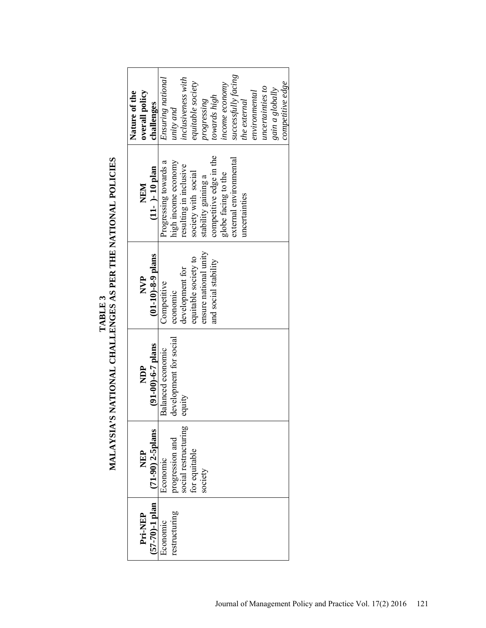| overall policy<br>Nature of the<br>challenges | successfully facing<br>inclusiveness with<br>Ensuring national<br>equitable society<br>competitive edge<br>income economy<br>uncertainties to<br>gain a globally<br>environmental<br>towards high<br>progressing<br>the external<br>unity and |
|-----------------------------------------------|-----------------------------------------------------------------------------------------------------------------------------------------------------------------------------------------------------------------------------------------------|
| $(11 - ) - 10$ plan<br>NEM                    | competitive edge in the<br>external environmental<br>high income economy<br>Progressing towards a<br>resulting in inclusive<br>society with social<br>globe facing to the<br>stability gaining a<br>uncertainties                             |
| $(01-10) - 8 - 9$ plans<br><b>P</b><br>NVP    | ensure national unity<br>equitable society to<br>and social stability<br>development for<br>Competitive<br>economic                                                                                                                           |
| $(91-00) - 6 - 7$ plans<br><b>PE</b>          | development for social<br>Balanced economic<br>equity                                                                                                                                                                                         |
| $(71-90)$ 2-5plans<br><b>AEL</b>              | social restructuring<br>progression and<br>for equitable<br>Economic<br>society                                                                                                                                                               |
| $(57-70) - 1$ plan<br><b>Pri-NEP</b>          | restructuring<br>Economic                                                                                                                                                                                                                     |

TABLE 3<br>MALAYSIA'S NATIONAL CHALLENGES AS PER THE NATIONAL POLICIES **MALAYSIA'S NATIONAL CHALLENGES AS PER THE NATIONAL POLICIES**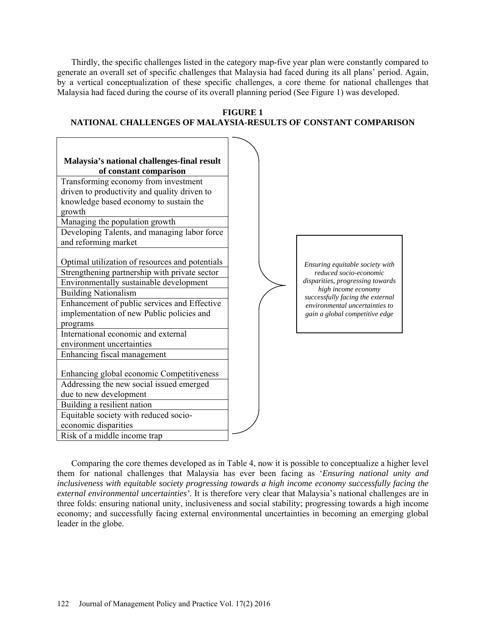Thirdly, the specific challenges listed in the category map-five year plan were constantly compared to generate an overall set of specific challenges that Malaysia had faced during its all plans' period. Again, by a vertical conceptualization of these specific challenges, a core theme for national challenges that Malaysia had faced during the course of its overall planning period (See Figure 1) was developed.





Comparing the core themes developed as in Table 4, now it is possible to conceptualize a higher level them for national challenges that Malaysia has ever been facing as '*Ensuring national unity and inclusiveness with equitable society progressing towards a high income economy successfully facing the external environmental uncertainties'*. It is therefore very clear that Malaysia's national challenges are in three folds: ensuring national unity, inclusiveness and social stability; progressing towards a high income economy; and successfully facing external environmental uncertainties in becoming an emerging global leader in the globe.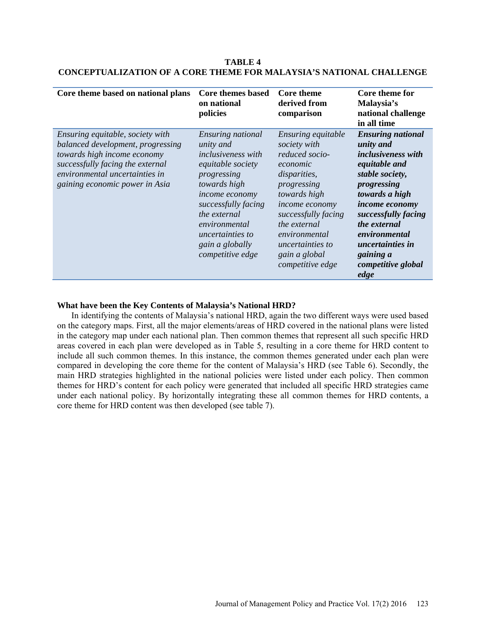| Core theme based on national plans                                                                                                                                                                           | Core themes based<br>on national<br>policies                                                                                                                                                                                                                | <b>Core theme</b><br>derived from<br>comparison                                                                                                                                                                                                                  | Core theme for<br>Malaysia's<br>national challenge<br>in all time                                                                                                                                                                                                                       |
|--------------------------------------------------------------------------------------------------------------------------------------------------------------------------------------------------------------|-------------------------------------------------------------------------------------------------------------------------------------------------------------------------------------------------------------------------------------------------------------|------------------------------------------------------------------------------------------------------------------------------------------------------------------------------------------------------------------------------------------------------------------|-----------------------------------------------------------------------------------------------------------------------------------------------------------------------------------------------------------------------------------------------------------------------------------------|
| Ensuring equitable, society with<br>balanced development, progressing<br>towards high income economy<br>successfully facing the external<br>environmental uncertainties in<br>gaining economic power in Asia | Ensuring national<br>unity and<br><i>inclusiveness with</i><br>equitable society<br>progressing<br>towards high<br><i>income economy</i><br>successfully facing<br>the external<br>environmental<br>uncertainties to<br>gain a globally<br>competitive edge | Ensuring equitable<br>society with<br>reduced socio-<br>economic<br><i>disparities,</i><br>progressing<br>towards high<br><i>income economy</i><br>successfully facing<br>the external<br>environmental<br>uncertainties to<br>gain a global<br>competitive edge | <b>Ensuring national</b><br>unity and<br><i>inclusiveness with</i><br>equitable and<br>stable society,<br>progressing<br>towards a high<br><i>income economy</i><br>successfully facing<br>the external<br>environmental<br>uncertainties in<br>gaining a<br>competitive global<br>edge |

**TABLE 4 CONCEPTUALIZATION OF A CORE THEME FOR MALAYSIA'S NATIONAL CHALLENGE**

# **What have been the Key Contents of Malaysia's National HRD?**

In identifying the contents of Malaysia's national HRD, again the two different ways were used based on the category maps. First, all the major elements/areas of HRD covered in the national plans were listed in the category map under each national plan. Then common themes that represent all such specific HRD areas covered in each plan were developed as in Table 5, resulting in a core theme for HRD content to include all such common themes. In this instance, the common themes generated under each plan were compared in developing the core theme for the content of Malaysia's HRD (see Table 6). Secondly, the main HRD strategies highlighted in the national policies were listed under each policy. Then common themes for HRD's content for each policy were generated that included all specific HRD strategies came under each national policy. By horizontally integrating these all common themes for HRD contents, a core theme for HRD content was then developed (see table 7).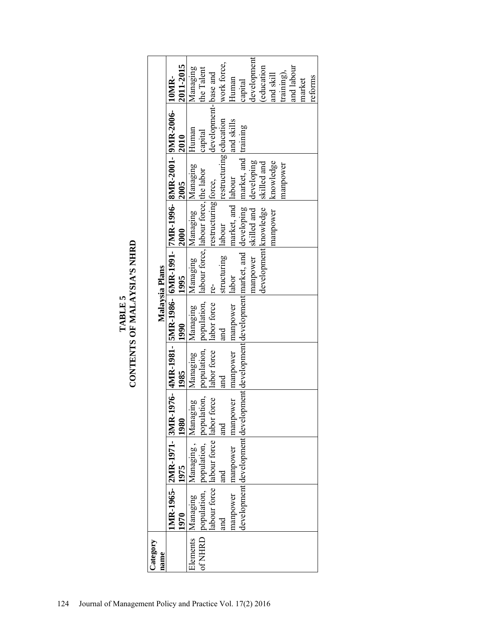| Category |         |                           |                                                                                                                                                                                                                                      |      |                                     |                    |                                   |                         |                                                                                |             |
|----------|---------|---------------------------|--------------------------------------------------------------------------------------------------------------------------------------------------------------------------------------------------------------------------------------|------|-------------------------------------|--------------------|-----------------------------------|-------------------------|--------------------------------------------------------------------------------|-------------|
| name     |         |                           |                                                                                                                                                                                                                                      |      |                                     | Malaysia Plans     |                                   |                         |                                                                                |             |
|          |         | IMR-1965- 2MR-1971- 3MR-1 |                                                                                                                                                                                                                                      |      |                                     |                    |                                   |                         | .976- AMR-1981-   SMR-1986-  6MR-1991-  7MR-1996-  8MR-2001-  9MR-2006-  10MR- |             |
|          | 1970    | 1975                      | 1980                                                                                                                                                                                                                                 | 1985 | 1990                                | 1995               | 2000                              | 2005                    | 2010                                                                           | 2011-2015   |
|          |         |                           | Elements Managing Managing, Managing Managing Managing Managing Managing Managing<br>of NHRD population, population, population, population, population, llabour force, labour force, the labor<br>abour force labour force labor fo |      | Managing Managing Managing Managing |                    |                                   |                         | Human                                                                          | Managing    |
|          |         |                           |                                                                                                                                                                                                                                      |      |                                     |                    |                                   |                         | capital                                                                        | the Talent  |
|          |         |                           |                                                                                                                                                                                                                                      |      |                                     |                    |                                   |                         | development-base and                                                           |             |
|          | and<br> | land                      | and                                                                                                                                                                                                                                  | land | and                                 | structuring labour |                                   | restructuring education |                                                                                | work force, |
|          |         |                           | nanpower manpower manpower manpower manpower llabor                                                                                                                                                                                  |      |                                     |                    | market, and labour                |                         | and skills                                                                     | Human       |
|          |         |                           | development development development development development market, and developing market, and training                                                                                                                              |      |                                     |                    |                                   |                         |                                                                                | capital     |
|          |         |                           |                                                                                                                                                                                                                                      |      |                                     |                    | manpower skilled and developing   |                         |                                                                                | development |
|          |         |                           |                                                                                                                                                                                                                                      |      |                                     |                    | development knowledge skilled and |                         |                                                                                | education   |
|          |         |                           |                                                                                                                                                                                                                                      |      |                                     |                    | manpower knowledge                |                         |                                                                                | and skill   |
|          |         |                           |                                                                                                                                                                                                                                      |      |                                     |                    |                                   | manpower                |                                                                                | training),  |
|          |         |                           |                                                                                                                                                                                                                                      |      |                                     |                    |                                   |                         |                                                                                | and labour  |
|          |         |                           |                                                                                                                                                                                                                                      |      |                                     |                    |                                   |                         |                                                                                | market      |
|          |         |                           |                                                                                                                                                                                                                                      |      |                                     |                    |                                   |                         |                                                                                | reforms     |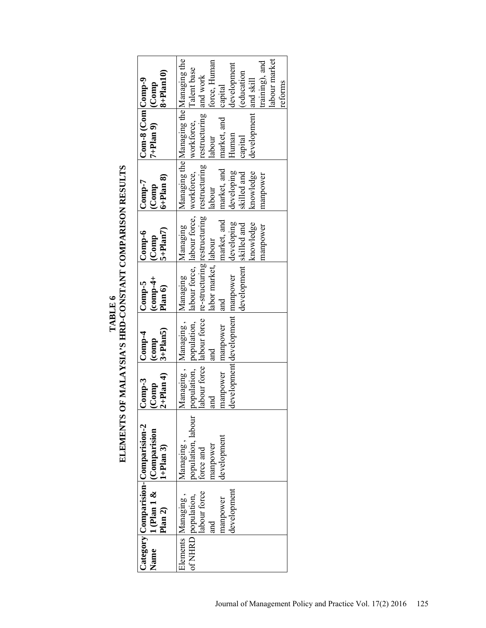TABLE 6<br>ELEMENTS OF MALAYSIA'S HRD-CONSTANT COMPARISON RESULTS **ELEMENTS OF MALAYSIA'S HRD-CONSTANT COMPARISON RESULTS**

| Name | $1$ (Plan 1 & $\left $ (Comparision<br>Plan 2)                                              | Category Comparision-Comparision-2<br>$(1+Plan 3)$                      | $ 2+Plan 4\rangle$<br>$Comp-3$<br>$ $ (Comp                        | $3+Plan5$<br>$Comp-4$<br>(comp                      | $(-6$ mp $-4$ +<br>$Comp-5$<br>Plan 6                                        | $5+Plan7$<br>$Comp-6$<br>(Comp                     | $6 +$ Plan $8$ )<br>$\mathop{\mathrm{Comp-7}}$<br>(Comp                                                                                                                                                                                                                                           | $Com-8$ (Com Comp-9<br>$7+Plan$ 9)                                 | $8 +$ Plan10)<br>$ $ (Comp                                                             |
|------|---------------------------------------------------------------------------------------------|-------------------------------------------------------------------------|--------------------------------------------------------------------|-----------------------------------------------------|------------------------------------------------------------------------------|----------------------------------------------------|---------------------------------------------------------------------------------------------------------------------------------------------------------------------------------------------------------------------------------------------------------------------------------------------------|--------------------------------------------------------------------|----------------------------------------------------------------------------------------|
|      | labour force<br>development<br>of NHRD population,<br>Elements Managing,<br>nanpower<br>and | population, labour<br>development<br>Managing,<br>manpower<br>force and | population, population,<br>Managing, Managing,<br>manpower<br>land | development development manpower<br>manpower<br>and | Managing Managing<br>development skilled and<br>labor market, llabour<br>and | market, and<br>developing<br>knowledge<br>manpower | Managing the Managing the Managing the<br>labour force, labour force, workforce, workforce, Talent base<br>labour force   labour force   re-structuring   restructuring   restructuring   restructuring   and work<br>market, and<br>knowledge<br>developing<br>skilled and<br>manpower<br>labour | development and skill<br>market, and<br>Human<br>labour<br>capital | labour market<br>force, Human<br>training), and<br>development<br>education<br>capital |
|      |                                                                                             |                                                                         |                                                                    |                                                     |                                                                              |                                                    |                                                                                                                                                                                                                                                                                                   |                                                                    | reforms                                                                                |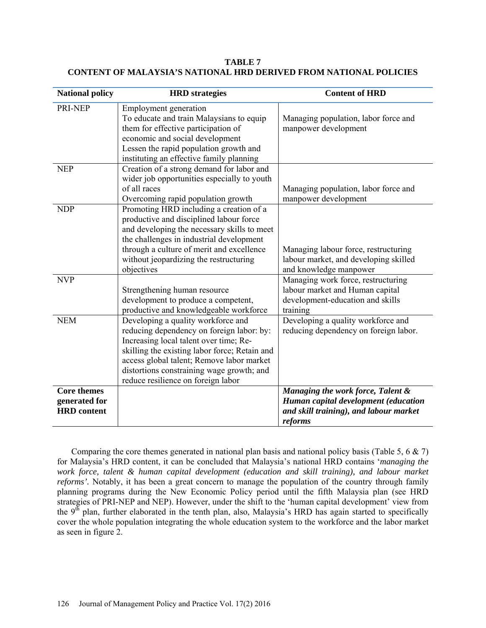| <b>National policy</b>                                    | <b>HRD</b> strategies                                                                                                                                                                                                                                                                                      | <b>Content of HRD</b>                                                                                                          |
|-----------------------------------------------------------|------------------------------------------------------------------------------------------------------------------------------------------------------------------------------------------------------------------------------------------------------------------------------------------------------------|--------------------------------------------------------------------------------------------------------------------------------|
| PRI-NEP                                                   | Employment generation<br>To educate and train Malaysians to equip<br>them for effective participation of<br>economic and social development<br>Lessen the rapid population growth and<br>instituting an effective family planning                                                                          | Managing population, labor force and<br>manpower development                                                                   |
| <b>NEP</b>                                                | Creation of a strong demand for labor and<br>wider job opportunities especially to youth<br>of all races<br>Overcoming rapid population growth                                                                                                                                                             | Managing population, labor force and<br>manpower development                                                                   |
| <b>NDP</b>                                                | Promoting HRD including a creation of a<br>productive and disciplined labour force<br>and developing the necessary skills to meet<br>the challenges in industrial development<br>through a culture of merit and excellence<br>without jeopardizing the restructuring<br>objectives                         | Managing labour force, restructuring<br>labour market, and developing skilled<br>and knowledge manpower                        |
| <b>NVP</b>                                                | Strengthening human resource<br>development to produce a competent,<br>productive and knowledgeable workforce                                                                                                                                                                                              | Managing work force, restructuring<br>labour market and Human capital<br>development-education and skills<br>training          |
| <b>NEM</b>                                                | Developing a quality workforce and<br>reducing dependency on foreign labor: by:<br>Increasing local talent over time; Re-<br>skilling the existing labor force; Retain and<br>access global talent; Remove labor market<br>distortions constraining wage growth; and<br>reduce resilience on foreign labor | Developing a quality workforce and<br>reducing dependency on foreign labor.                                                    |
| <b>Core themes</b><br>generated for<br><b>HRD</b> content |                                                                                                                                                                                                                                                                                                            | Managing the work force, Talent &<br>Human capital development (education<br>and skill training), and labour market<br>reforms |

**TABLE 7 CONTENT OF MALAYSIA'S NATIONAL HRD DERIVED FROM NATIONAL POLICIES**

Comparing the core themes generated in national plan basis and national policy basis (Table 5, 6  $\&$  7) for Malaysia's HRD content, it can be concluded that Malaysia's national HRD contains '*managing the work force, talent & human capital development (education and skill training), and labour market reforms'.* Notably, it has been a great concern to manage the population of the country through family planning programs during the New Economic Policy period until the fifth Malaysia plan (see HRD strategies of PRI-NEP and NEP). However, under the shift to the 'human capital development' view from the  $9<sup>th</sup>$  plan, further elaborated in the tenth plan, also, Malaysia's HRD has again started to specifically cover the whole population integrating the whole education system to the workforce and the labor market as seen in figure 2.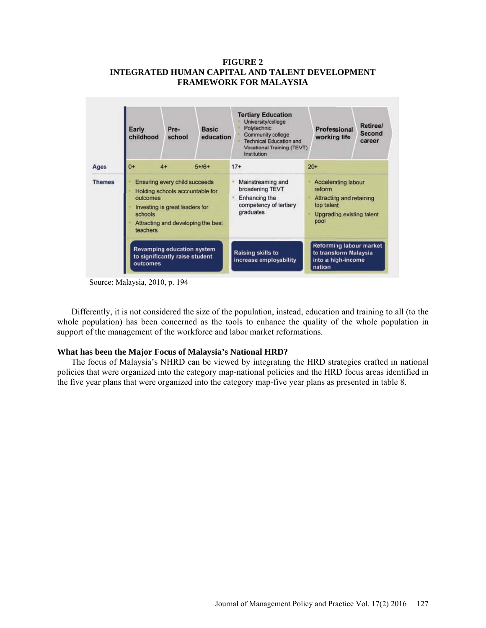# **FIGURE 2 INTEGRATED HUMAN CAPITAL AND TALENT DEVELOPMENT FRAMEWORK FOR MALAYSIA**



Source: Malaysia, 2010, p. 194

Differently, it is not considered the size of the population, instead, education and training to all (to the whole population) has been concerned as the tools to enhance the quality of the whole population in support of the management of the workforce and labor market reformations.

### **What has been the Major Focus of Malaysia's National HRD?**

The focus of Malaysia's NHRD can be viewed by integrating the HRD strategies crafted in national policies that were organized into the category map-national policies and the HRD focus areas identified in the five year plans that were organized into the category map-five year plans as presented in table 8.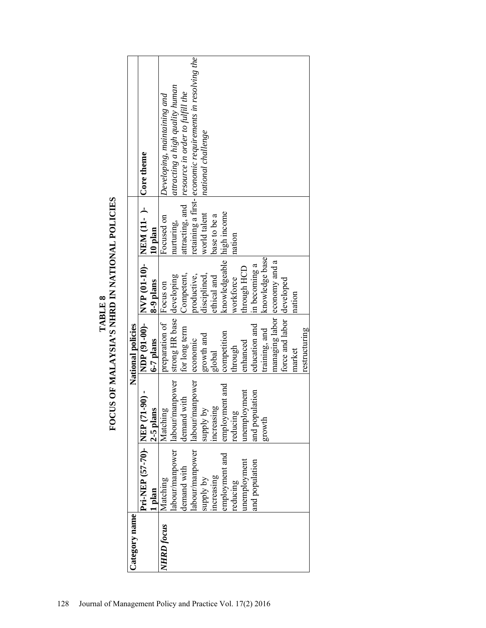| Category name     |                           |                 | National policies            |                                                   |              |                                                           |
|-------------------|---------------------------|-----------------|------------------------------|---------------------------------------------------|--------------|-----------------------------------------------------------|
|                   | Pri-NEP (57-70) - NEP (71 | $-90 -$         |                              | NDP (91-00)- $NVP$ (01-10)- NEM (11-)- Core theme |              |                                                           |
|                   | 1 plan                    | 2-5 plans       | $6-7$ plans                  | 8-9 plans                                         | 10 plan      |                                                           |
| <b>NHRD</b> focus | Matching                  | Matching        | preparation of Focus on      |                                                   | Focused on   | Developing, maintaining and                               |
|                   | labour/manpower           | labour/manpower | strong HR base developing    |                                                   | nurturing,   | attracting a high quality human                           |
|                   | demand with               | demand with     | for long term                | Competent                                         |              | attracting, and resource in order to fulfill the          |
|                   | labour/manpower           | labour/manpower | economic                     | productive,                                       |              | retaining a first-leconomic requirements in resolving the |
|                   | supply by                 | Aq Apdhas       | growth and                   | disciplined,                                      | world talent | national challenge                                        |
|                   | ncreasing                 | ncreasing       | global                       | ethical and                                       | base to be a |                                                           |
|                   | employment and            | employment and  | competition                  | knowledgeable high income                         |              |                                                           |
|                   | reducing                  | educing         | hrough                       | workforce                                         | nation       |                                                           |
|                   | memployment               | memployment     | enhanced                     | through HCD                                       |              |                                                           |
|                   | and population            | and population  | education and                | in becoming a                                     |              |                                                           |
|                   |                           | growth          | training, and                | knowledge base                                    |              |                                                           |
|                   |                           |                 | managing labor economy and a |                                                   |              |                                                           |
|                   |                           |                 | force and labor developed    |                                                   |              |                                                           |
|                   |                           |                 | market                       | nation                                            |              |                                                           |
|                   |                           |                 | restructuring                |                                                   |              |                                                           |

TABLE 8<br>FOCUS OF MALAYSIA'S NHRD IN NATIONAL POLICIES **FOCUS OF MALAYSIA'S NHRD IN NATIONAL POLICIES**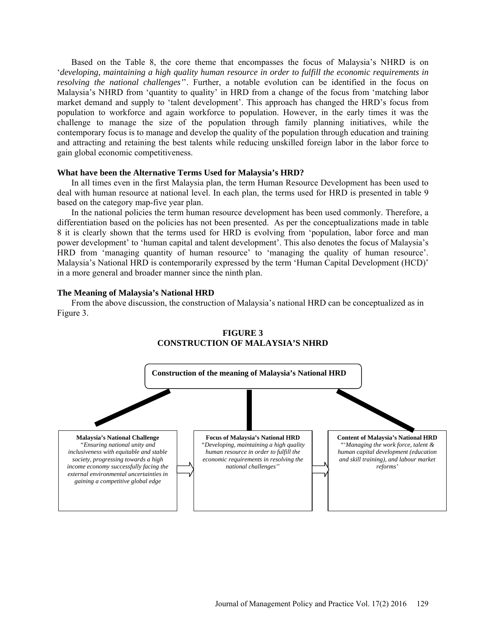Based on the Table 8, the core theme that encompasses the focus of Malaysia's NHRD is on '*developing, maintaining a high quality human resource in order to fulfill the economic requirements in resolving the national challenges'*'. Further, a notable evolution can be identified in the focus on Malaysia's NHRD from 'quantity to quality' in HRD from a change of the focus from 'matching labor market demand and supply to 'talent development'. This approach has changed the HRD's focus from population to workforce and again workforce to population. However, in the early times it was the challenge to manage the size of the population through family planning initiatives, while the contemporary focus is to manage and develop the quality of the population through education and training and attracting and retaining the best talents while reducing unskilled foreign labor in the labor force to gain global economic competitiveness.

#### **What have been the Alternative Terms Used for Malaysia's HRD?**

In all times even in the first Malaysia plan, the term Human Resource Development has been used to deal with human resource at national level. In each plan, the terms used for HRD is presented in table 9 based on the category map-five year plan.

In the national policies the term human resource development has been used commonly. Therefore, a differentiation based on the policies has not been presented. As per the conceptualizations made in table 8 it is clearly shown that the terms used for HRD is evolving from 'population, labor force and man power development' to 'human capital and talent development'. This also denotes the focus of Malaysia's HRD from 'managing quantity of human resource' to 'managing the quality of human resource'. Malaysia's National HRD is contemporarily expressed by the term 'Human Capital Development (HCD)' in a more general and broader manner since the ninth plan.

#### **The Meaning of Malaysia's National HRD**

From the above discussion, the construction of Malaysia's national HRD can be conceptualized as in Figure 3.



## **FIGURE 3 CONSTRUCTION OF MALAYSIA'S NHRD**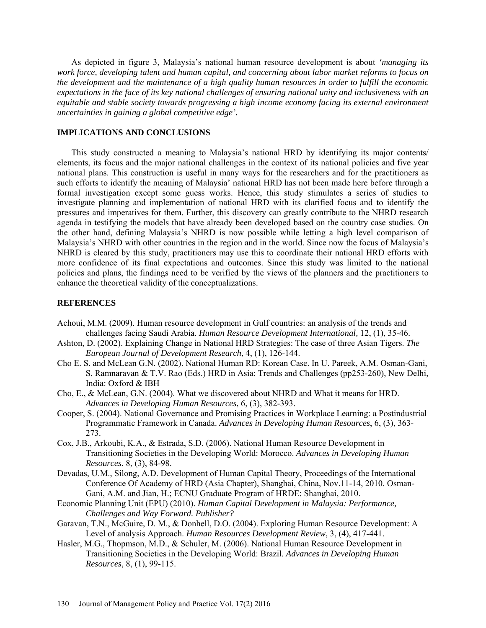As depicted in figure 3, Malaysia's national human resource development is about *'managing its work force, developing talent and human capital, and concerning about labor market reforms to focus on the development and the maintenance of a high quality human resources in order to fulfill the economic expectations in the face of its key national challenges of ensuring national unity and inclusiveness with an equitable and stable society towards progressing a high income economy facing its external environment uncertainties in gaining a global competitive edge'.*

# **IMPLICATIONS AND CONCLUSIONS**

This study constructed a meaning to Malaysia's national HRD by identifying its major contents/ elements, its focus and the major national challenges in the context of its national policies and five year national plans. This construction is useful in many ways for the researchers and for the practitioners as such efforts to identify the meaning of Malaysia' national HRD has not been made here before through a formal investigation except some guess works. Hence, this study stimulates a series of studies to investigate planning and implementation of national HRD with its clarified focus and to identify the pressures and imperatives for them. Further, this discovery can greatly contribute to the NHRD research agenda in testifying the models that have already been developed based on the country case studies. On the other hand, defining Malaysia's NHRD is now possible while letting a high level comparison of Malaysia's NHRD with other countries in the region and in the world. Since now the focus of Malaysia's NHRD is cleared by this study, practitioners may use this to coordinate their national HRD efforts with more confidence of its final expectations and outcomes. Since this study was limited to the national policies and plans, the findings need to be verified by the views of the planners and the practitioners to enhance the theoretical validity of the conceptualizations.

### **REFERENCES**

- Achoui, M.M. (2009). Human resource development in Gulf countries: an analysis of the trends and challenges facing Saudi Arabia. *Human Resource Development International,* 12, (1), 35-46.
- Ashton, D. (2002). Explaining Change in National HRD Strategies: The case of three Asian Tigers. *The European Journal of Development Research*, 4, (1), 126-144.
- Cho E. S. and McLean G.N. (2002). National Human RD: Korean Case. In U. Pareek, A.M. Osman-Gani, S. Ramnaravan & T.V. Rao (Eds.) HRD in Asia: Trends and Challenges (pp253-260), New Delhi, India: Oxford & IBH
- Cho, E., & McLean, G.N. (2004). What we discovered about NHRD and What it means for HRD. *Advances in Developing Human Resources*, 6, (3), 382-393.
- Cooper, S. (2004). National Governance and Promising Practices in Workplace Learning: a Postindustrial Programmatic Framework in Canada. *Advances in Developing Human Resources*, 6, (3), 363- 273.
- Cox, J.B., Arkoubi, K.A., & Estrada, S.D. (2006). National Human Resource Development in Transitioning Societies in the Developing World: Morocco. *Advances in Developing Human Resources*, 8, (3), 84-98.
- Devadas, U.M., Silong, A.D. Development of Human Capital Theory, Proceedings of the International Conference Of Academy of HRD (Asia Chapter), Shanghai, China, Nov.11-14, 2010. Osman-Gani, A.M. and Jian, H.; ECNU Graduate Program of HRDE: Shanghai, 2010.
- Economic Planning Unit (EPU) (2010). *Human Capital Development in Malaysia: Performance, Challenges and Way Forward. Publisher?*
- Garavan, T.N., McGuire, D. M., & Donhell, D.O. (2004). Exploring Human Resource Development: A Level of analysis Approach. *Human Resources Development Review*, 3, (4), 417-441.
- Hasler, M.G., Thopmson, M.D., & Schuler, M. (2006). National Human Resource Development in Transitioning Societies in the Developing World: Brazil. *Advances in Developing Human Resources*, 8, (1), 99-115.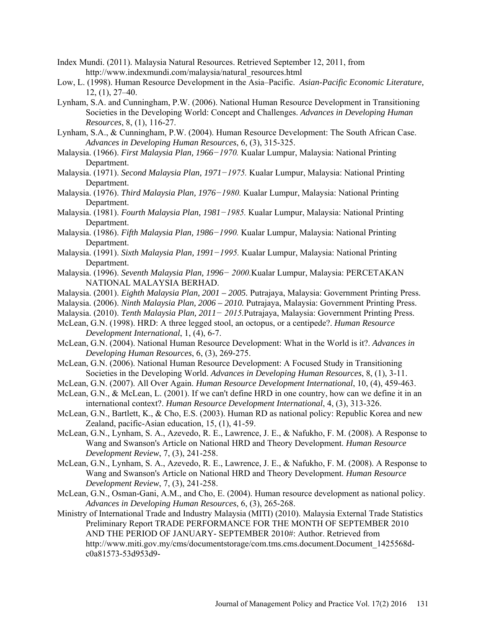- Index Mundi. (2011). Malaysia Natural Resources. Retrieved September 12, 2011, from [http://www.indexmundi.com/malaysia/natural\\_resources.html](http://www.indexmundi.com/malaysia/natural_resources.html)
- Low, L. (1998). Human Resource Development in the Asia–Pacific. *Asian-Pacific Economic Literature,*  [12, \(1\), 2](http://onlinelibrary.wiley.com/doi/10.1111/apel.1998.12.issue-1/issuetoc)7–40.
- Lynham, S.A. and Cunningham, P.W. (2006). National Human Resource Development in Transitioning Societies in the Developing World: Concept and Challenges. *Advances in Developing Human Resources*, 8, (1), 116-27.
- Lynham, S.A., & Cunningham, P.W. (2004). Human Resource Development: The South African Case. *Advances in Developing Human Resources*, 6, (3), 315-325.
- Malaysia. (1966). *First Malaysia Plan, 1966−1970.* Kualar Lumpur, Malaysia: National Printing Department.
- Malaysia. (1971). *Second Malaysia Plan, 1971−1975.* Kualar Lumpur, Malaysia: National Printing Department.
- Malaysia. (1976). *Third Malaysia Plan, 1976−1980.* Kualar Lumpur, Malaysia: National Printing Department.
- Malaysia. (1981). *Fourth Malaysia Plan, 1981−1985.* Kualar Lumpur, Malaysia: National Printing Department.
- Malaysia. (1986). *Fifth Malaysia Plan, 1986−1990.* Kualar Lumpur, Malaysia: National Printing Department.
- Malaysia. (1991). *Sixth Malaysia Plan, 1991−1995.* Kualar Lumpur, Malaysia: National Printing Department.
- Malaysia. (1996). *Seventh Malaysia Plan, 1996− 2000.*Kualar Lumpur, Malaysia: PERCETAKAN NATIONAL MALAYSIA BERHAD.
- Malaysia. (2001). *Eighth Malaysia Plan, 2001 2005.* Putrajaya, Malaysia: Government Printing Press.
- Malaysia. (2006). *Ninth Malaysia Plan, 2006 2010.* Putrajaya, Malaysia: Government Printing Press.
- Malaysia. (2010). *Tenth Malaysia Plan, 2011− 2015.*Putrajaya, Malaysia: Government Printing Press.
- McLean, G.N. (1998). HRD: A three legged stool, an octopus, or a centipede?. *Human Resource Development International*, 1, (4), 6-7.
- McLean, G.N. (2004). National Human Resource Development: What in the World is it?. *Advances in Developing Human Resources*, 6, (3), 269-275.
- McLean, G.N. (2006). National Human Resource Development: A Focused Study in Transitioning Societies in the Developing World. *Advances in Developing Human Resources*, 8, (1), 3-11.
- McLean, G.N. (2007). All Over Again. *Human Resource Development International*, 10, (4), 459-463.
- McLean, G.N., & McLean, L. (2001). If we can't define HRD in one country, how can we define it in an international context?. *Human Resource Development International*, 4, (3), 313-326.
- McLean, G.N., Bartlett, K., & Cho, E.S. (2003). Human RD as national policy: Republic Korea and new Zealand, pacific-Asian education, 15, (1), 41-59.
- McLean, G.N., Lynham, S. A., Azevedo, R. E., Lawrence, J. E., & Nafukho, F. M. (2008). A Response to Wang and Swanson's Article on National HRD and Theory Development. *Human Resource Development Review*, 7, (3), 241-258.
- McLean, G.N., Lynham, S. A., Azevedo, R. E., Lawrence, J. E., & Nafukho, F. M. (2008). A Response to Wang and Swanson's Article on National HRD and Theory Development. *Human Resource Development Review*, 7, (3), 241-258.
- McLean, G.N., Osman-Gani, A.M., and Cho, E. (2004). Human resource development as national policy. *Advances in Developing Human Resources*, 6, (3), 265-268.
- Ministry of International Trade and Industry Malaysia (MITI) (2010). Malaysia External Trade Statistics Preliminary Report TRADE PERFORMANCE FOR THE MONTH OF SEPTEMBER 2010 AND THE PERIOD OF JANUARY- SEPTEMBER 2010#: Author. Retrieved from [http://www.miti.gov.my/cms/documentstorage/com.tms.cms.document.Document\\_1425568d](http://www.miti.gov.my/cms/documentstorage/com.tms.cms.document.Document_1425568d-c0a81573-53d953d9-78a6c61b/Trade%20Performance%20For%20The%20Month%20Of%20September%202010%20And%20The%20Period%20Of%20January%20-%20September%202010.pdf)[c0a81573-53d953d9-](http://www.miti.gov.my/cms/documentstorage/com.tms.cms.document.Document_1425568d-c0a81573-53d953d9-78a6c61b/Trade%20Performance%20For%20The%20Month%20Of%20September%202010%20And%20The%20Period%20Of%20January%20-%20September%202010.pdf)